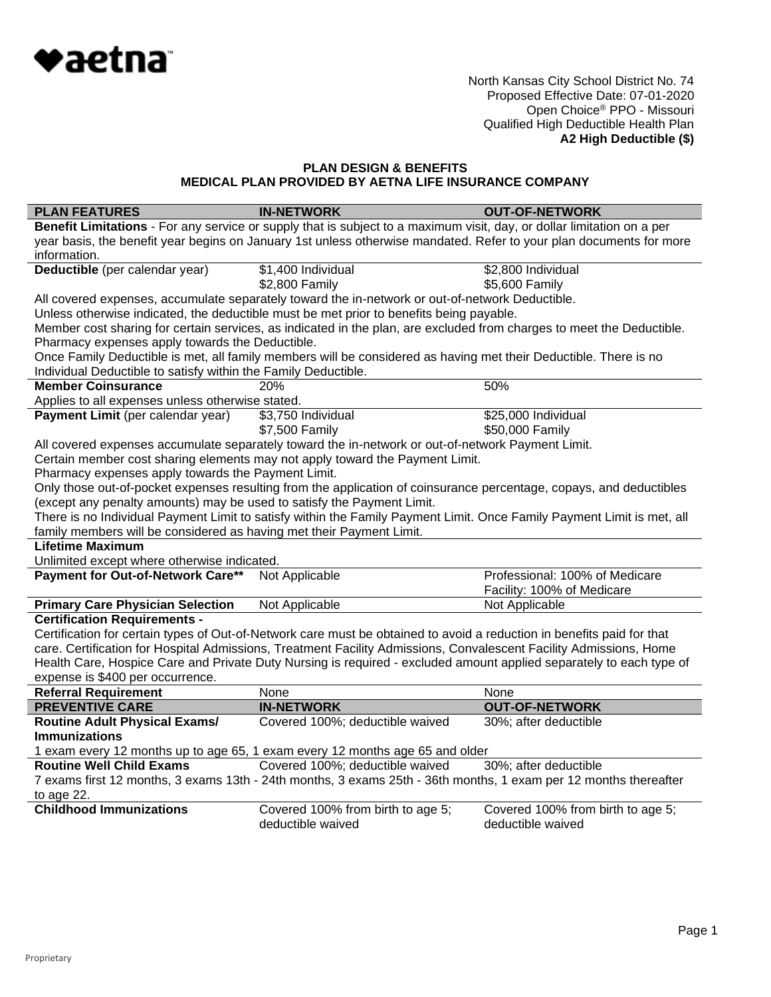

#### **PLAN DESIGN & BENEFITS MEDICAL PLAN PROVIDED BY AETNA LIFE INSURANCE COMPANY**

| <b>PLAN FEATURES</b>                                                                                                  | <b>IN-NETWORK</b>                                                                                                      | <b>OUT-OF-NETWORK</b>             |  |
|-----------------------------------------------------------------------------------------------------------------------|------------------------------------------------------------------------------------------------------------------------|-----------------------------------|--|
|                                                                                                                       | Benefit Limitations - For any service or supply that is subject to a maximum visit, day, or dollar limitation on a per |                                   |  |
|                                                                                                                       | year basis, the benefit year begins on January 1st unless otherwise mandated. Refer to your plan documents for more    |                                   |  |
| information.                                                                                                          |                                                                                                                        |                                   |  |
| Deductible (per calendar year)                                                                                        | \$1,400 Individual                                                                                                     | \$2,800 Individual                |  |
|                                                                                                                       | \$2,800 Family                                                                                                         | \$5,600 Family                    |  |
|                                                                                                                       | All covered expenses, accumulate separately toward the in-network or out-of-network Deductible.                        |                                   |  |
|                                                                                                                       | Unless otherwise indicated, the deductible must be met prior to benefits being payable.                                |                                   |  |
| Member cost sharing for certain services, as indicated in the plan, are excluded from charges to meet the Deductible. |                                                                                                                        |                                   |  |
| Pharmacy expenses apply towards the Deductible.                                                                       |                                                                                                                        |                                   |  |
|                                                                                                                       | Once Family Deductible is met, all family members will be considered as having met their Deductible. There is no       |                                   |  |
| Individual Deductible to satisfy within the Family Deductible.                                                        |                                                                                                                        |                                   |  |
| <b>Member Coinsurance</b>                                                                                             | 20%                                                                                                                    | 50%                               |  |
| Applies to all expenses unless otherwise stated.                                                                      |                                                                                                                        |                                   |  |
| Payment Limit (per calendar year)                                                                                     | \$3,750 Individual                                                                                                     | \$25,000 Individual               |  |
|                                                                                                                       | \$7,500 Family                                                                                                         | \$50,000 Family                   |  |
|                                                                                                                       | All covered expenses accumulate separately toward the in-network or out-of-network Payment Limit.                      |                                   |  |
|                                                                                                                       | Certain member cost sharing elements may not apply toward the Payment Limit.                                           |                                   |  |
| Pharmacy expenses apply towards the Payment Limit.                                                                    |                                                                                                                        |                                   |  |
|                                                                                                                       | Only those out-of-pocket expenses resulting from the application of coinsurance percentage, copays, and deductibles    |                                   |  |
| (except any penalty amounts) may be used to satisfy the Payment Limit.                                                |                                                                                                                        |                                   |  |
|                                                                                                                       | There is no Individual Payment Limit to satisfy within the Family Payment Limit. Once Family Payment Limit is met, all |                                   |  |
| family members will be considered as having met their Payment Limit.                                                  |                                                                                                                        |                                   |  |
| <b>Lifetime Maximum</b>                                                                                               |                                                                                                                        |                                   |  |
| Unlimited except where otherwise indicated.                                                                           |                                                                                                                        |                                   |  |
| Payment for Out-of-Network Care**                                                                                     | Not Applicable                                                                                                         | Professional: 100% of Medicare    |  |
|                                                                                                                       |                                                                                                                        | Facility: 100% of Medicare        |  |
| <b>Primary Care Physician Selection</b>                                                                               | Not Applicable                                                                                                         | Not Applicable                    |  |
| <b>Certification Requirements -</b>                                                                                   |                                                                                                                        |                                   |  |
|                                                                                                                       | Certification for certain types of Out-of-Network care must be obtained to avoid a reduction in benefits paid for that |                                   |  |
|                                                                                                                       | care. Certification for Hospital Admissions, Treatment Facility Admissions, Convalescent Facility Admissions, Home     |                                   |  |
|                                                                                                                       | Health Care, Hospice Care and Private Duty Nursing is required - excluded amount applied separately to each type of    |                                   |  |
| expense is \$400 per occurrence.                                                                                      |                                                                                                                        |                                   |  |
| <b>Referral Requirement</b>                                                                                           | None                                                                                                                   | None                              |  |
| <b>PREVENTIVE CARE</b>                                                                                                | <b>IN-NETWORK</b>                                                                                                      | <b>OUT-OF-NETWORK</b>             |  |
| <b>Routine Adult Physical Exams/</b>                                                                                  | Covered 100%; deductible waived                                                                                        | 30%; after deductible             |  |
| <b>Immunizations</b>                                                                                                  |                                                                                                                        |                                   |  |
|                                                                                                                       | 1 exam every 12 months up to age 65, 1 exam every 12 months age 65 and older                                           |                                   |  |
| <b>Routine Well Child Exams</b>                                                                                       | Covered 100%; deductible waived                                                                                        | 30%; after deductible             |  |
|                                                                                                                       | 7 exams first 12 months, 3 exams 13th - 24th months, 3 exams 25th - 36th months, 1 exam per 12 months thereafter       |                                   |  |
| to age 22.                                                                                                            |                                                                                                                        |                                   |  |
| <b>Childhood Immunizations</b>                                                                                        | Covered 100% from birth to age 5;                                                                                      | Covered 100% from birth to age 5; |  |
|                                                                                                                       | deductible waived                                                                                                      | deductible waived                 |  |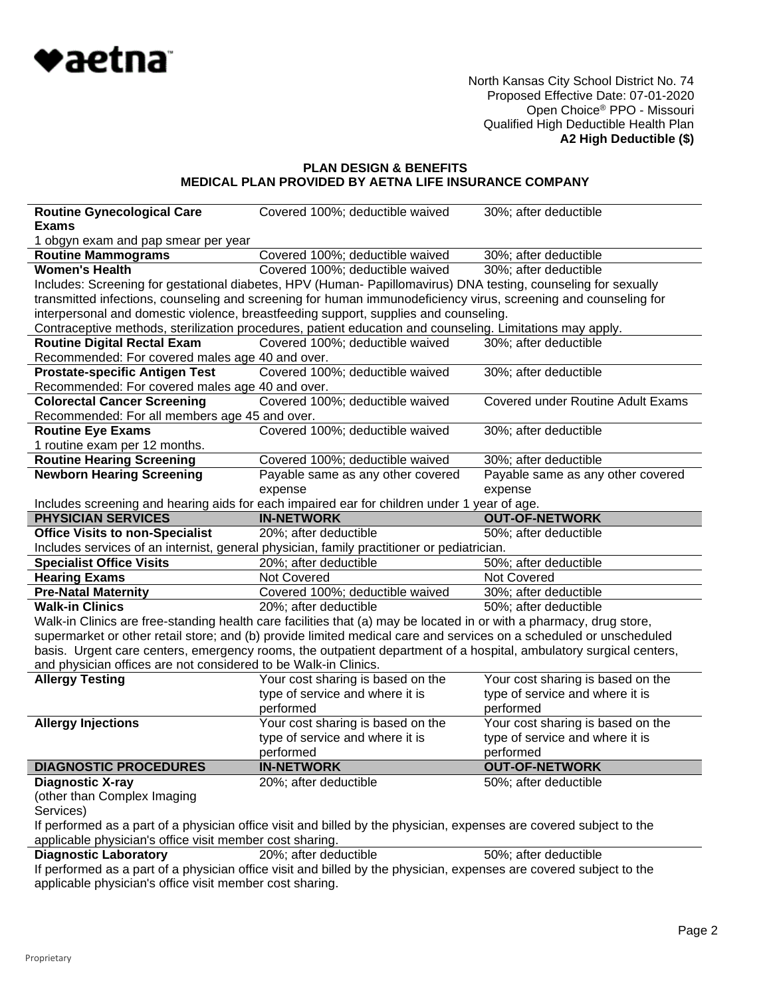

# **PLAN DESIGN & BENEFITS MEDICAL PLAN PROVIDED BY AETNA LIFE INSURANCE COMPANY**

| <b>Routine Gynecological Care</b><br><b>Exams</b>               | Covered 100%; deductible waived                                                                                                                                                                                                           | 30%; after deductible                    |
|-----------------------------------------------------------------|-------------------------------------------------------------------------------------------------------------------------------------------------------------------------------------------------------------------------------------------|------------------------------------------|
| 1 obgyn exam and pap smear per year                             |                                                                                                                                                                                                                                           |                                          |
| <b>Routine Mammograms</b>                                       | Covered 100%; deductible waived                                                                                                                                                                                                           | 30%; after deductible                    |
| <b>Women's Health</b>                                           | Covered 100%; deductible waived                                                                                                                                                                                                           | 30%; after deductible                    |
|                                                                 | Includes: Screening for gestational diabetes, HPV (Human- Papillomavirus) DNA testing, counseling for sexually                                                                                                                            |                                          |
|                                                                 | transmitted infections, counseling and screening for human immunodeficiency virus, screening and counseling for                                                                                                                           |                                          |
|                                                                 | interpersonal and domestic violence, breastfeeding support, supplies and counseling.                                                                                                                                                      |                                          |
|                                                                 | Contraceptive methods, sterilization procedures, patient education and counseling. Limitations may apply.                                                                                                                                 |                                          |
| <b>Routine Digital Rectal Exam</b>                              | Covered 100%; deductible waived                                                                                                                                                                                                           | 30%; after deductible                    |
| Recommended: For covered males age 40 and over.                 |                                                                                                                                                                                                                                           |                                          |
| <b>Prostate-specific Antigen Test</b>                           | Covered 100%; deductible waived                                                                                                                                                                                                           | 30%; after deductible                    |
| Recommended: For covered males age 40 and over.                 |                                                                                                                                                                                                                                           |                                          |
| <b>Colorectal Cancer Screening</b>                              | Covered 100%; deductible waived                                                                                                                                                                                                           | <b>Covered under Routine Adult Exams</b> |
| Recommended: For all members age 45 and over.                   |                                                                                                                                                                                                                                           |                                          |
| <b>Routine Eye Exams</b>                                        | Covered 100%; deductible waived                                                                                                                                                                                                           | 30%; after deductible                    |
| 1 routine exam per 12 months.                                   |                                                                                                                                                                                                                                           |                                          |
| <b>Routine Hearing Screening</b>                                | Covered 100%; deductible waived                                                                                                                                                                                                           | 30%; after deductible                    |
| <b>Newborn Hearing Screening</b>                                | Payable same as any other covered                                                                                                                                                                                                         | Payable same as any other covered        |
|                                                                 | expense                                                                                                                                                                                                                                   | expense                                  |
|                                                                 | Includes screening and hearing aids for each impaired ear for children under 1 year of age.                                                                                                                                               |                                          |
| <b>PHYSICIAN SERVICES</b>                                       | <b>IN-NETWORK</b>                                                                                                                                                                                                                         | <b>OUT-OF-NETWORK</b>                    |
| <b>Office Visits to non-Specialist</b>                          | 20%; after deductible                                                                                                                                                                                                                     | 50%; after deductible                    |
|                                                                 | Includes services of an internist, general physician, family practitioner or pediatrician.                                                                                                                                                |                                          |
| <b>Specialist Office Visits</b>                                 | 20%; after deductible                                                                                                                                                                                                                     | 50%; after deductible                    |
| <b>Hearing Exams</b>                                            | Not Covered                                                                                                                                                                                                                               | Not Covered                              |
| <b>Pre-Natal Maternity</b>                                      | Covered 100%; deductible waived                                                                                                                                                                                                           | 30%; after deductible                    |
| <b>Walk-in Clinics</b>                                          | 20%; after deductible                                                                                                                                                                                                                     | 50%; after deductible                    |
|                                                                 |                                                                                                                                                                                                                                           |                                          |
|                                                                 |                                                                                                                                                                                                                                           |                                          |
|                                                                 | Walk-in Clinics are free-standing health care facilities that (a) may be located in or with a pharmacy, drug store,<br>supermarket or other retail store; and (b) provide limited medical care and services on a scheduled or unscheduled |                                          |
|                                                                 | basis. Urgent care centers, emergency rooms, the outpatient department of a hospital, ambulatory surgical centers,                                                                                                                        |                                          |
| and physician offices are not considered to be Walk-in Clinics. |                                                                                                                                                                                                                                           |                                          |
| <b>Allergy Testing</b>                                          | Your cost sharing is based on the                                                                                                                                                                                                         | Your cost sharing is based on the        |
|                                                                 | type of service and where it is                                                                                                                                                                                                           | type of service and where it is          |
|                                                                 | performed                                                                                                                                                                                                                                 | performed                                |
| <b>Allergy Injections</b>                                       | Your cost sharing is based on the                                                                                                                                                                                                         | Your cost sharing is based on the        |
|                                                                 | type of service and where it is                                                                                                                                                                                                           | type of service and where it is          |
|                                                                 | performed                                                                                                                                                                                                                                 | performed                                |
| <b>DIAGNOSTIC PROCEDURES</b>                                    | <b>IN-NETWORK</b>                                                                                                                                                                                                                         | <b>OUT-OF-NETWORK</b>                    |
| Diagnostic X-ray                                                | 20%; after deductible                                                                                                                                                                                                                     | 50%; after deductible                    |
| (other than Complex Imaging                                     |                                                                                                                                                                                                                                           |                                          |
| Services)                                                       |                                                                                                                                                                                                                                           |                                          |
|                                                                 | If performed as a part of a physician office visit and billed by the physician, expenses are covered subject to the                                                                                                                       |                                          |
| applicable physician's office visit member cost sharing.        |                                                                                                                                                                                                                                           |                                          |
| <b>Diagnostic Laboratory</b>                                    | 20%; after deductible<br>If performed as a part of a physician office visit and billed by the physician, expenses are covered subject to the                                                                                              | 50%; after deductible                    |

applicable physician's office visit member cost sharing.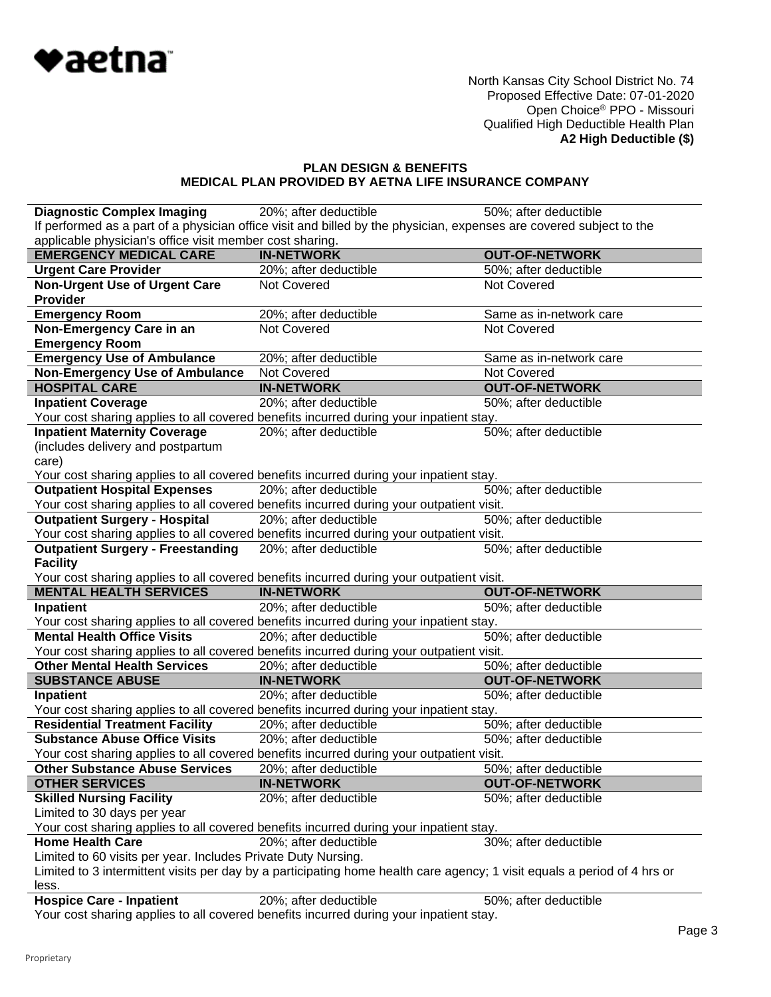

# **PLAN DESIGN & BENEFITS MEDICAL PLAN PROVIDED BY AETNA LIFE INSURANCE COMPANY**

| <b>Diagnostic Complex Imaging</b>                             | 20%; after deductible                                                                                                    | 50%; after deductible   |
|---------------------------------------------------------------|--------------------------------------------------------------------------------------------------------------------------|-------------------------|
|                                                               | If performed as a part of a physician office visit and billed by the physician, expenses are covered subject to the      |                         |
| applicable physician's office visit member cost sharing.      |                                                                                                                          |                         |
| <b>EMERGENCY MEDICAL CARE</b>                                 | <b>IN-NETWORK</b>                                                                                                        | <b>OUT-OF-NETWORK</b>   |
| <b>Urgent Care Provider</b>                                   | 20%; after deductible                                                                                                    | 50%; after deductible   |
| <b>Non-Urgent Use of Urgent Care</b>                          | Not Covered                                                                                                              | Not Covered             |
| <b>Provider</b>                                               |                                                                                                                          |                         |
| <b>Emergency Room</b>                                         | 20%; after deductible                                                                                                    | Same as in-network care |
| Non-Emergency Care in an                                      | <b>Not Covered</b>                                                                                                       | <b>Not Covered</b>      |
| <b>Emergency Room</b>                                         |                                                                                                                          |                         |
| <b>Emergency Use of Ambulance</b>                             | 20%; after deductible                                                                                                    | Same as in-network care |
| <b>Non-Emergency Use of Ambulance</b>                         | <b>Not Covered</b>                                                                                                       | Not Covered             |
| <b>HOSPITAL CARE</b>                                          | <b>IN-NETWORK</b>                                                                                                        | <b>OUT-OF-NETWORK</b>   |
| <b>Inpatient Coverage</b>                                     | 20%; after deductible                                                                                                    | 50%; after deductible   |
|                                                               | Your cost sharing applies to all covered benefits incurred during your inpatient stay.                                   |                         |
| <b>Inpatient Maternity Coverage</b>                           | 20%; after deductible                                                                                                    | 50%; after deductible   |
| (includes delivery and postpartum                             |                                                                                                                          |                         |
| care)                                                         |                                                                                                                          |                         |
|                                                               | Your cost sharing applies to all covered benefits incurred during your inpatient stay.                                   |                         |
| <b>Outpatient Hospital Expenses</b>                           | 20%; after deductible                                                                                                    | 50%; after deductible   |
|                                                               | Your cost sharing applies to all covered benefits incurred during your outpatient visit.                                 |                         |
| <b>Outpatient Surgery - Hospital</b>                          | 20%; after deductible                                                                                                    | 50%; after deductible   |
|                                                               | Your cost sharing applies to all covered benefits incurred during your outpatient visit.                                 |                         |
| <b>Outpatient Surgery - Freestanding</b>                      | 20%; after deductible                                                                                                    | 50%; after deductible   |
|                                                               |                                                                                                                          |                         |
| <b>Facility</b>                                               |                                                                                                                          |                         |
|                                                               | Your cost sharing applies to all covered benefits incurred during your outpatient visit.                                 |                         |
| <b>MENTAL HEALTH SERVICES</b>                                 | <b>IN-NETWORK</b>                                                                                                        | <b>OUT-OF-NETWORK</b>   |
| Inpatient                                                     | 20%; after deductible                                                                                                    | 50%; after deductible   |
|                                                               | Your cost sharing applies to all covered benefits incurred during your inpatient stay.                                   |                         |
| <b>Mental Health Office Visits</b>                            | 20%; after deductible                                                                                                    | 50%; after deductible   |
|                                                               | Your cost sharing applies to all covered benefits incurred during your outpatient visit.                                 |                         |
| <b>Other Mental Health Services</b>                           | 20%; after deductible                                                                                                    | 50%; after deductible   |
| <b>SUBSTANCE ABUSE</b>                                        | <b>IN-NETWORK</b>                                                                                                        | <b>OUT-OF-NETWORK</b>   |
| Inpatient                                                     | 20%; after deductible                                                                                                    | 50%; after deductible   |
|                                                               | Your cost sharing applies to all covered benefits incurred during your inpatient stay.                                   |                         |
| <b>Residential Treatment Facility</b>                         | 20%; after deductible                                                                                                    | 50%; after deductible   |
| <b>Substance Abuse Office Visits</b>                          | 20%; after deductible                                                                                                    | 50%; after deductible   |
|                                                               | Your cost sharing applies to all covered benefits incurred during your outpatient visit.                                 |                         |
| <b>Other Substance Abuse Services</b>                         | 20%; after deductible                                                                                                    | 50%; after deductible   |
| <b>OTHER SERVICES</b>                                         | <b>IN-NETWORK</b>                                                                                                        | <b>OUT-OF-NETWORK</b>   |
| <b>Skilled Nursing Facility</b>                               | 20%; after deductible                                                                                                    | 50%; after deductible   |
| Limited to 30 days per year                                   |                                                                                                                          |                         |
|                                                               | Your cost sharing applies to all covered benefits incurred during your inpatient stay.                                   |                         |
| <b>Home Health Care</b>                                       | 20%; after deductible                                                                                                    | 30%; after deductible   |
| Limited to 60 visits per year. Includes Private Duty Nursing. |                                                                                                                          |                         |
|                                                               | Limited to 3 intermittent visits per day by a participating home health care agency; 1 visit equals a period of 4 hrs or |                         |
| less.                                                         |                                                                                                                          |                         |
| <b>Hospice Care - Inpatient</b>                               | 20%; after deductible<br>Your cost sharing applies to all covered benefits incurred during your inpatient stay.          | 50%; after deductible   |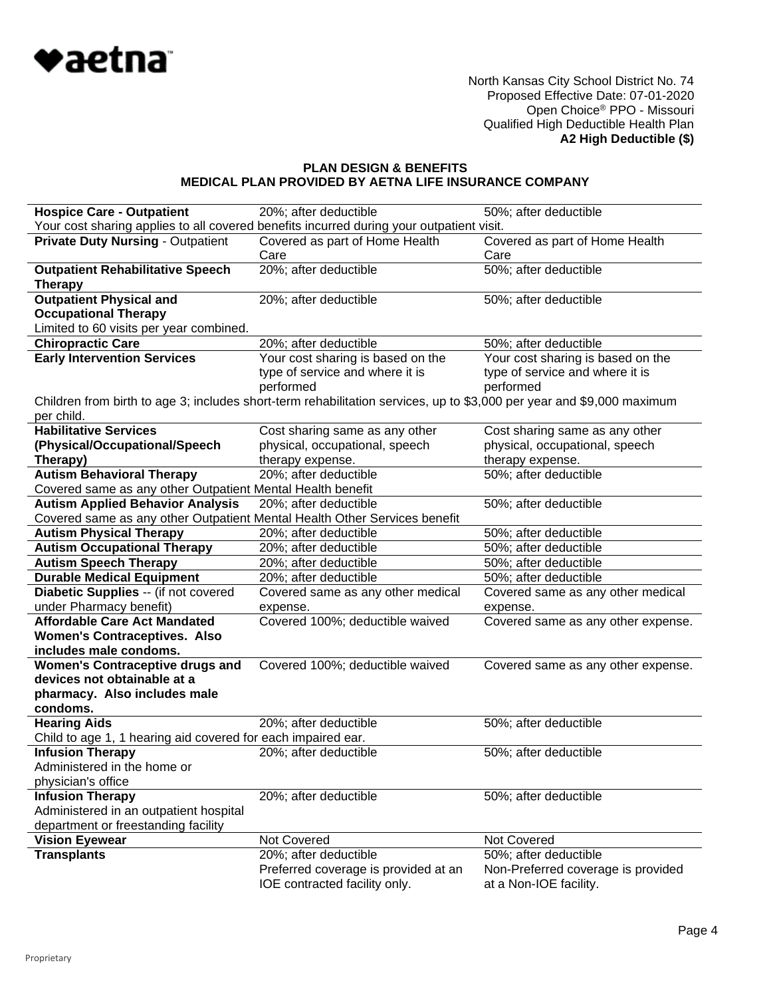

## **PLAN DESIGN & BENEFITS MEDICAL PLAN PROVIDED BY AETNA LIFE INSURANCE COMPANY**

| <b>Hospice Care - Outpatient</b>                                                                                  | 20%; after deductible                                                                                                 | 50%; after deductible                                        |  |
|-------------------------------------------------------------------------------------------------------------------|-----------------------------------------------------------------------------------------------------------------------|--------------------------------------------------------------|--|
| Your cost sharing applies to all covered benefits incurred during your outpatient visit.                          |                                                                                                                       |                                                              |  |
| <b>Private Duty Nursing - Outpatient</b>                                                                          | Covered as part of Home Health<br>Care                                                                                | Covered as part of Home Health<br>Care                       |  |
| <b>Outpatient Rehabilitative Speech</b>                                                                           | 20%; after deductible                                                                                                 | 50%; after deductible                                        |  |
| <b>Therapy</b>                                                                                                    |                                                                                                                       |                                                              |  |
| <b>Outpatient Physical and</b>                                                                                    | 20%; after deductible                                                                                                 | 50%; after deductible                                        |  |
| <b>Occupational Therapy</b>                                                                                       |                                                                                                                       |                                                              |  |
| Limited to 60 visits per year combined.                                                                           |                                                                                                                       |                                                              |  |
| <b>Chiropractic Care</b>                                                                                          | 20%; after deductible                                                                                                 | 50%; after deductible                                        |  |
| <b>Early Intervention Services</b>                                                                                | Your cost sharing is based on the                                                                                     | Your cost sharing is based on the                            |  |
|                                                                                                                   | type of service and where it is                                                                                       | type of service and where it is                              |  |
|                                                                                                                   | performed                                                                                                             | performed                                                    |  |
|                                                                                                                   | Children from birth to age 3; includes short-term rehabilitation services, up to \$3,000 per year and \$9,000 maximum |                                                              |  |
| per child.                                                                                                        |                                                                                                                       |                                                              |  |
| <b>Habilitative Services</b>                                                                                      | Cost sharing same as any other                                                                                        | Cost sharing same as any other                               |  |
| (Physical/Occupational/Speech                                                                                     | physical, occupational, speech                                                                                        | physical, occupational, speech                               |  |
| Therapy)                                                                                                          | therapy expense.                                                                                                      | therapy expense.                                             |  |
| <b>Autism Behavioral Therapy</b>                                                                                  | 20%; after deductible                                                                                                 | 50%; after deductible                                        |  |
| Covered same as any other Outpatient Mental Health benefit                                                        |                                                                                                                       |                                                              |  |
| <b>Autism Applied Behavior Analysis</b>                                                                           | 20%; after deductible                                                                                                 | 50%; after deductible                                        |  |
| Covered same as any other Outpatient Mental Health Other Services benefit<br><b>Autism Physical Therapy</b>       |                                                                                                                       |                                                              |  |
| <b>Autism Occupational Therapy</b>                                                                                | 20%; after deductible                                                                                                 | 50%; after deductible<br>50%; after deductible               |  |
|                                                                                                                   | 20%; after deductible                                                                                                 | 50%; after deductible                                        |  |
| <b>Autism Speech Therapy</b><br><b>Durable Medical Equipment</b>                                                  | 20%; after deductible<br>20%; after deductible                                                                        | 50%; after deductible                                        |  |
| Diabetic Supplies -- (if not covered                                                                              | Covered same as any other medical                                                                                     | Covered same as any other medical                            |  |
| under Pharmacy benefit)                                                                                           | expense.                                                                                                              | expense.                                                     |  |
| <b>Affordable Care Act Mandated</b><br><b>Women's Contraceptives. Also</b><br>includes male condoms.              | Covered 100%; deductible waived                                                                                       | Covered same as any other expense.                           |  |
| <b>Women's Contraceptive drugs and</b><br>devices not obtainable at a<br>pharmacy. Also includes male<br>condoms. | Covered 100%; deductible waived                                                                                       | Covered same as any other expense.                           |  |
| <b>Hearing Aids</b>                                                                                               | 20%; after deductible                                                                                                 | 50%; after deductible                                        |  |
| Child to age 1, 1 hearing aid covered for each impaired ear.                                                      |                                                                                                                       |                                                              |  |
| <b>Infusion Therapy</b>                                                                                           | 20%; after deductible                                                                                                 | 50%; after deductible                                        |  |
| Administered in the home or                                                                                       |                                                                                                                       |                                                              |  |
| physician's office                                                                                                |                                                                                                                       |                                                              |  |
| <b>Infusion Therapy</b>                                                                                           | 20%; after deductible                                                                                                 | 50%; after deductible                                        |  |
| Administered in an outpatient hospital                                                                            |                                                                                                                       |                                                              |  |
| department or freestanding facility                                                                               |                                                                                                                       |                                                              |  |
| <b>Vision Eyewear</b>                                                                                             | Not Covered                                                                                                           | Not Covered                                                  |  |
| <b>Transplants</b>                                                                                                | 20%; after deductible                                                                                                 | 50%; after deductible                                        |  |
|                                                                                                                   | Preferred coverage is provided at an<br>IOE contracted facility only.                                                 | Non-Preferred coverage is provided<br>at a Non-IOE facility. |  |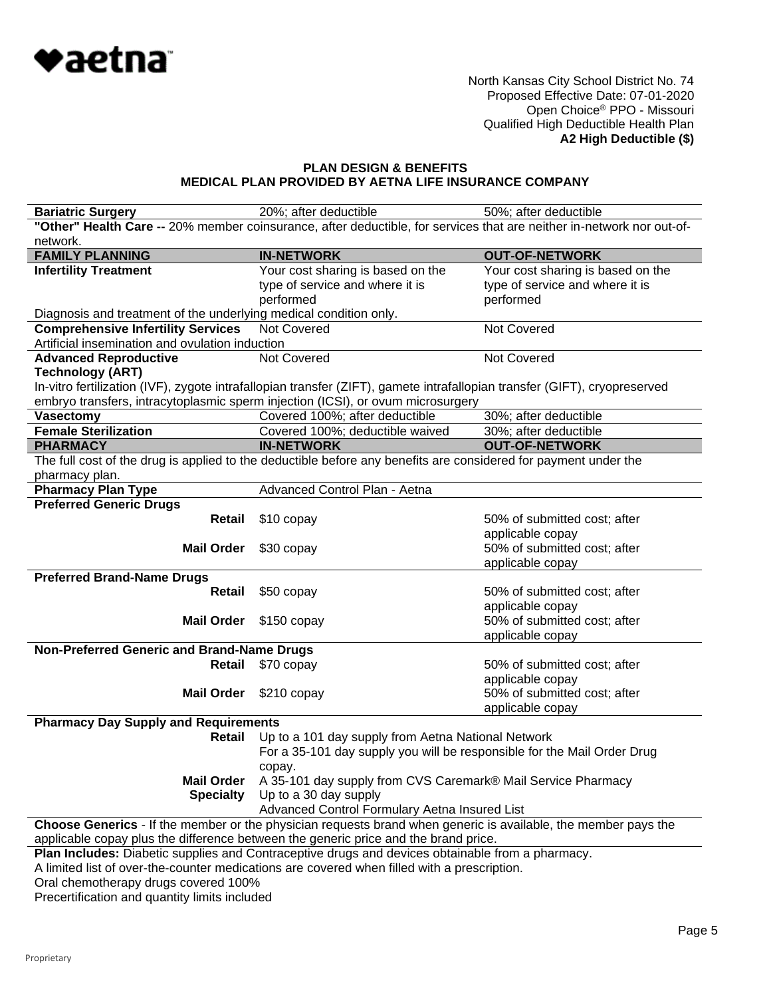

### **PLAN DESIGN & BENEFITS MEDICAL PLAN PROVIDED BY AETNA LIFE INSURANCE COMPANY**

| <b>Bariatric Surgery</b>                                                                         | 20%; after deductible                                                                                                                                           | 50%; after deductible                            |  |
|--------------------------------------------------------------------------------------------------|-----------------------------------------------------------------------------------------------------------------------------------------------------------------|--------------------------------------------------|--|
|                                                                                                  | "Other" Health Care -- 20% member coinsurance, after deductible, for services that are neither in-network nor out-of-                                           |                                                  |  |
| network.                                                                                         |                                                                                                                                                                 |                                                  |  |
| <b>FAMILY PLANNING</b>                                                                           | <b>IN-NETWORK</b>                                                                                                                                               | <b>OUT-OF-NETWORK</b>                            |  |
| <b>Infertility Treatment</b>                                                                     | Your cost sharing is based on the                                                                                                                               | Your cost sharing is based on the                |  |
|                                                                                                  | type of service and where it is                                                                                                                                 | type of service and where it is                  |  |
|                                                                                                  | performed                                                                                                                                                       | performed                                        |  |
| Diagnosis and treatment of the underlying medical condition only.                                |                                                                                                                                                                 |                                                  |  |
| <b>Comprehensive Infertility Services</b>                                                        | Not Covered                                                                                                                                                     | Not Covered                                      |  |
| Artificial insemination and ovulation induction                                                  |                                                                                                                                                                 |                                                  |  |
| <b>Advanced Reproductive</b>                                                                     | Not Covered                                                                                                                                                     | Not Covered                                      |  |
| <b>Technology (ART)</b>                                                                          |                                                                                                                                                                 |                                                  |  |
|                                                                                                  | In-vitro fertilization (IVF), zygote intrafallopian transfer (ZIFT), gamete intrafallopian transfer (GIFT), cryopreserved                                       |                                                  |  |
|                                                                                                  | embryo transfers, intracytoplasmic sperm injection (ICSI), or ovum microsurgery                                                                                 |                                                  |  |
| Vasectomy                                                                                        | Covered 100%; after deductible                                                                                                                                  | 30%; after deductible                            |  |
| <b>Female Sterilization</b>                                                                      | Covered 100%; deductible waived                                                                                                                                 | 30%; after deductible                            |  |
| <b>PHARMACY</b>                                                                                  | <b>IN-NETWORK</b>                                                                                                                                               | <b>OUT-OF-NETWORK</b>                            |  |
|                                                                                                  | The full cost of the drug is applied to the deductible before any benefits are considered for payment under the                                                 |                                                  |  |
| pharmacy plan.                                                                                   |                                                                                                                                                                 |                                                  |  |
| <b>Pharmacy Plan Type</b>                                                                        | Advanced Control Plan - Aetna                                                                                                                                   |                                                  |  |
| <b>Preferred Generic Drugs</b>                                                                   |                                                                                                                                                                 |                                                  |  |
| Retail                                                                                           | \$10 copay                                                                                                                                                      | 50% of submitted cost; after                     |  |
|                                                                                                  |                                                                                                                                                                 | applicable copay                                 |  |
| <b>Mail Order</b>                                                                                | \$30 copay                                                                                                                                                      | 50% of submitted cost; after                     |  |
|                                                                                                  |                                                                                                                                                                 | applicable copay                                 |  |
| <b>Preferred Brand-Name Drugs</b>                                                                |                                                                                                                                                                 |                                                  |  |
| Retail                                                                                           | \$50 copay                                                                                                                                                      | 50% of submitted cost; after                     |  |
| <b>Mail Order</b>                                                                                |                                                                                                                                                                 | applicable copay<br>50% of submitted cost; after |  |
|                                                                                                  | $$150$ copay                                                                                                                                                    |                                                  |  |
| Non-Preferred Generic and Brand-Name Drugs                                                       |                                                                                                                                                                 | applicable copay                                 |  |
| Retail                                                                                           | \$70 copay                                                                                                                                                      | 50% of submitted cost; after                     |  |
|                                                                                                  |                                                                                                                                                                 | applicable copay                                 |  |
| <b>Mail Order</b>                                                                                | $$210$ copay                                                                                                                                                    | 50% of submitted cost; after                     |  |
|                                                                                                  |                                                                                                                                                                 | applicable copay                                 |  |
| <b>Pharmacy Day Supply and Requirements</b>                                                      |                                                                                                                                                                 |                                                  |  |
| Retail                                                                                           | Up to a 101 day supply from Aetna National Network                                                                                                              |                                                  |  |
|                                                                                                  |                                                                                                                                                                 |                                                  |  |
|                                                                                                  | For a 35-101 day supply you will be responsible for the Mail Order Drug                                                                                         |                                                  |  |
| <b>Mail Order</b>                                                                                | copay.<br>A 35-101 day supply from CVS Caremark® Mail Service Pharmacy                                                                                          |                                                  |  |
| <b>Specialty</b>                                                                                 | Up to a 30 day supply                                                                                                                                           |                                                  |  |
|                                                                                                  |                                                                                                                                                                 |                                                  |  |
|                                                                                                  | Advanced Control Formulary Aetna Insured List<br>Choose Generics - If the member or the physician requests brand when generic is available, the member pays the |                                                  |  |
| applicable copay plus the difference between the generic price and the brand price.              |                                                                                                                                                                 |                                                  |  |
| Plan Includes: Diabetic supplies and Contraceptive drugs and devices obtainable from a pharmacy. |                                                                                                                                                                 |                                                  |  |
| A limited list of over-the-counter medications are covered when filled with a prescription.      |                                                                                                                                                                 |                                                  |  |
|                                                                                                  |                                                                                                                                                                 |                                                  |  |

Oral chemotherapy drugs covered 100%

Precertification and quantity limits included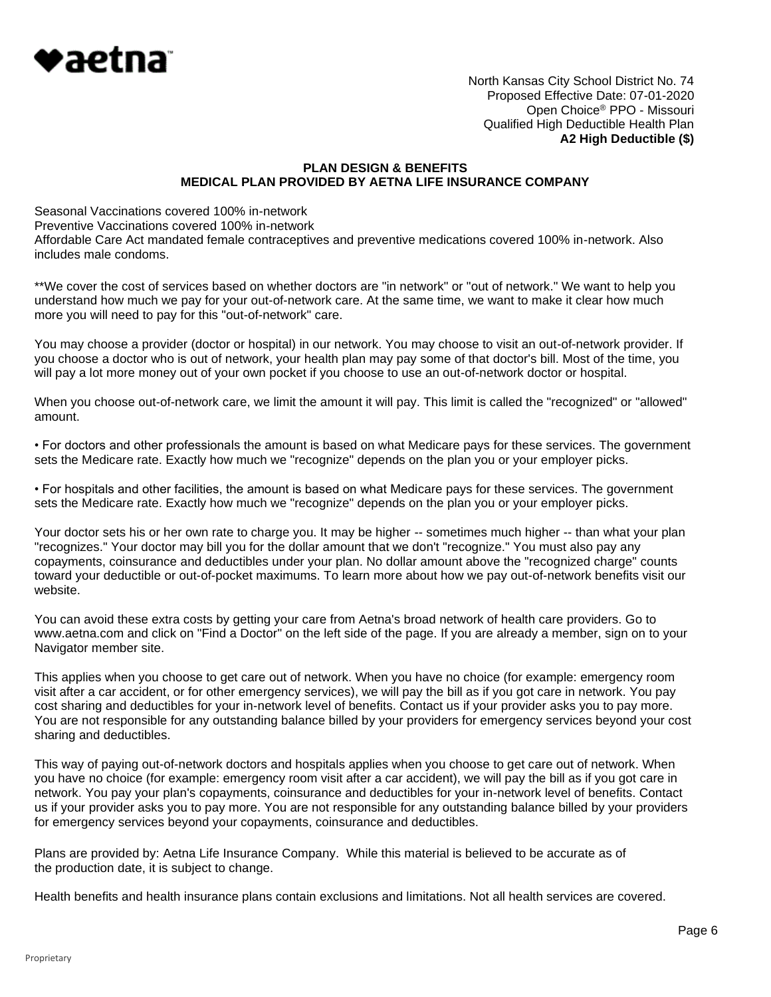

### **PLAN DESIGN & BENEFITS MEDICAL PLAN PROVIDED BY AETNA LIFE INSURANCE COMPANY**

Seasonal Vaccinations covered 100% in-network Preventive Vaccinations covered 100% in-network Affordable Care Act mandated female contraceptives and preventive medications covered 100% in-network. Also includes male condoms.

\*\*We cover the cost of services based on whether doctors are "in network" or "out of network." We want to help you understand how much we pay for your out-of-network care. At the same time, we want to make it clear how much more you will need to pay for this "out-of-network" care.

You may choose a provider (doctor or hospital) in our network. You may choose to visit an out-of-network provider. If you choose a doctor who is out of network, your health plan may pay some of that doctor's bill. Most of the time, you will pay a lot more money out of your own pocket if you choose to use an out-of-network doctor or hospital.

When you choose out-of-network care, we limit the amount it will pay. This limit is called the "recognized" or "allowed" amount.

• For doctors and other professionals the amount is based on what Medicare pays for these services. The government sets the Medicare rate. Exactly how much we "recognize" depends on the plan you or your employer picks.

• For hospitals and other facilities, the amount is based on what Medicare pays for these services. The government sets the Medicare rate. Exactly how much we "recognize" depends on the plan you or your employer picks.

Your doctor sets his or her own rate to charge you. It may be higher -- sometimes much higher -- than what your plan "recognizes." Your doctor may bill you for the dollar amount that we don't "recognize." You must also pay any copayments, coinsurance and deductibles under your plan. No dollar amount above the "recognized charge" counts toward your deductible or out-of-pocket maximums. To learn more about how we pay out-of-network benefits visit our website.

You can avoid these extra costs by getting your care from Aetna's broad network of health care providers. Go to www.aetna.com and click on "Find a Doctor" on the left side of the page. If you are already a member, sign on to your Navigator member site.

This applies when you choose to get care out of network. When you have no choice (for example: emergency room visit after a car accident, or for other emergency services), we will pay the bill as if you got care in network. You pay cost sharing and deductibles for your in-network level of benefits. Contact us if your provider asks you to pay more. You are not responsible for any outstanding balance billed by your providers for emergency services beyond your cost sharing and deductibles.

This way of paying out-of-network doctors and hospitals applies when you choose to get care out of network. When you have no choice (for example: emergency room visit after a car accident), we will pay the bill as if you got care in network. You pay your plan's copayments, coinsurance and deductibles for your in-network level of benefits. Contact us if your provider asks you to pay more. You are not responsible for any outstanding balance billed by your providers for emergency services beyond your copayments, coinsurance and deductibles.

Plans are provided by: Aetna Life Insurance Company. While this material is believed to be accurate as of the production date, it is subject to change.

Health benefits and health insurance plans contain exclusions and limitations. Not all health services are covered.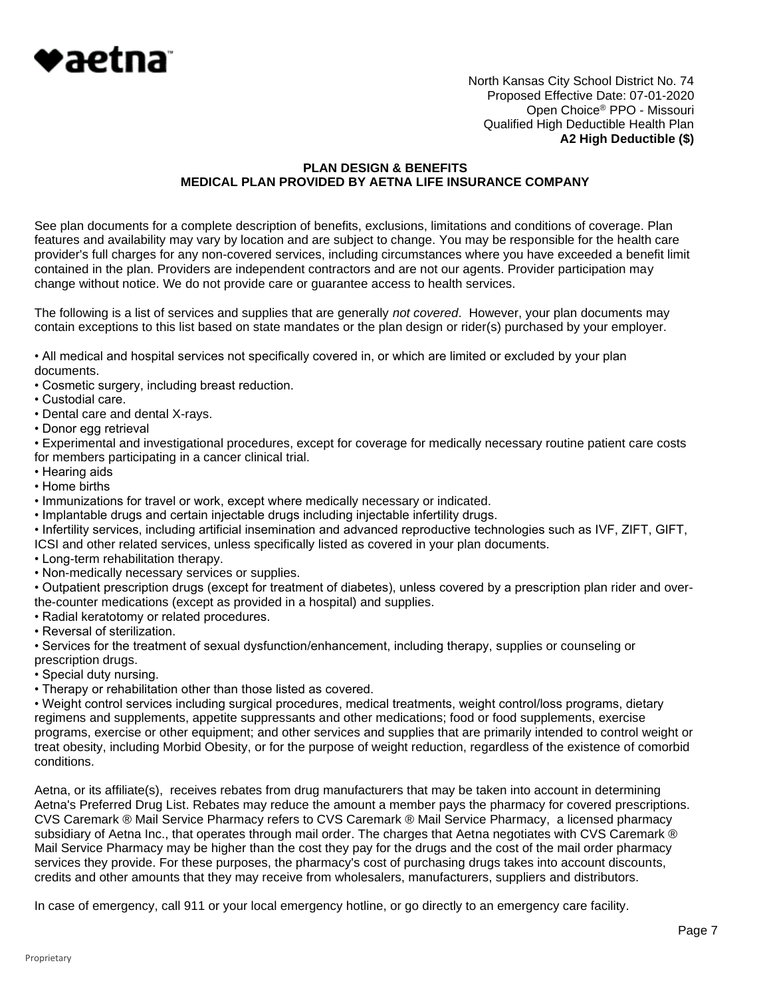

#### **PLAN DESIGN & BENEFITS MEDICAL PLAN PROVIDED BY AETNA LIFE INSURANCE COMPANY**

See plan documents for a complete description of benefits, exclusions, limitations and conditions of coverage. Plan features and availability may vary by location and are subject to change. You may be responsible for the health care provider's full charges for any non-covered services, including circumstances where you have exceeded a benefit limit contained in the plan. Providers are independent contractors and are not our agents. Provider participation may change without notice. We do not provide care or guarantee access to health services.

The following is a list of services and supplies that are generally *not covered*. However, your plan documents may contain exceptions to this list based on state mandates or the plan design or rider(s) purchased by your employer.

• All medical and hospital services not specifically covered in, or which are limited or excluded by your plan documents.

- Cosmetic surgery, including breast reduction.
- Custodial care.
- Dental care and dental X-rays.
- Donor egg retrieval

• Experimental and investigational procedures, except for coverage for medically necessary routine patient care costs for members participating in a cancer clinical trial.

- Hearing aids
- Home births
- Immunizations for travel or work, except where medically necessary or indicated.
- Implantable drugs and certain injectable drugs including injectable infertility drugs.

• Infertility services, including artificial insemination and advanced reproductive technologies such as IVF, ZIFT, GIFT, ICSI and other related services, unless specifically listed as covered in your plan documents.

- Long-term rehabilitation therapy.
- Non-medically necessary services or supplies.

• Outpatient prescription drugs (except for treatment of diabetes), unless covered by a prescription plan rider and overthe-counter medications (except as provided in a hospital) and supplies.

• Radial keratotomy or related procedures.

• Reversal of sterilization.

• Services for the treatment of sexual dysfunction/enhancement, including therapy, supplies or counseling or prescription drugs.

- Special duty nursing.
- Therapy or rehabilitation other than those listed as covered.

• Weight control services including surgical procedures, medical treatments, weight control/loss programs, dietary regimens and supplements, appetite suppressants and other medications; food or food supplements, exercise programs, exercise or other equipment; and other services and supplies that are primarily intended to control weight or treat obesity, including Morbid Obesity, or for the purpose of weight reduction, regardless of the existence of comorbid conditions.

Aetna, or its affiliate(s), receives rebates from drug manufacturers that may be taken into account in determining Aetna's Preferred Drug List. Rebates may reduce the amount a member pays the pharmacy for covered prescriptions. CVS Caremark ® Mail Service Pharmacy refers to CVS Caremark ® Mail Service Pharmacy, a licensed pharmacy subsidiary of Aetna Inc., that operates through mail order. The charges that Aetna negotiates with CVS Caremark ® Mail Service Pharmacy may be higher than the cost they pay for the drugs and the cost of the mail order pharmacy services they provide. For these purposes, the pharmacy's cost of purchasing drugs takes into account discounts, credits and other amounts that they may receive from wholesalers, manufacturers, suppliers and distributors.

In case of emergency, call 911 or your local emergency hotline, or go directly to an emergency care facility.